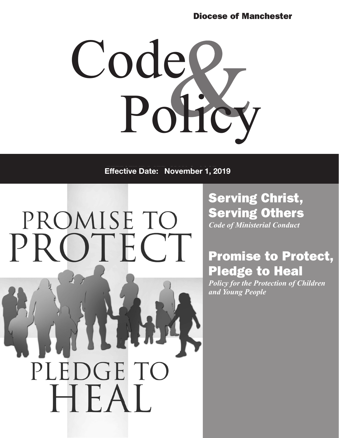### Diocese of Manchester



**Effective Date: November 1, 2019** 



Serving Christ, Serving Others *Code of Ministerial Conduct* 

# Promise to Protect, Pledge to Heal

*Policy for the Protection of Children and Young People*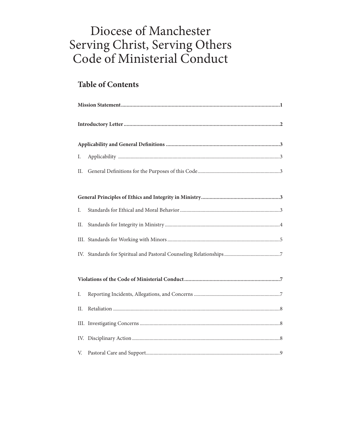# Diocese of Manchester Serving Christ, Serving Others<br>Code of Ministerial Conduct

# **Table of Contents**

| Ι.  |  |  |  |
|-----|--|--|--|
| II. |  |  |  |
|     |  |  |  |
| Ι.  |  |  |  |
| П.  |  |  |  |
|     |  |  |  |
|     |  |  |  |
|     |  |  |  |
|     |  |  |  |
| Ι.  |  |  |  |
| II. |  |  |  |
|     |  |  |  |
|     |  |  |  |
|     |  |  |  |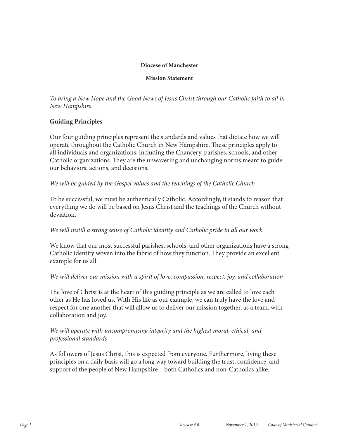#### **Diocese of Manchester**

#### **Mission Statement**

*To bring a New Hope and the Good News of Jesus Christ through our Catholic faith to all in New Hampshire.*

#### **Guiding Principles**

Our four guiding principles represent the standards and values that dictate how we will operate throughout the Catholic Church in New Hampshire. These principles apply to all individuals and organizations, including the Chancery, parishes, schools, and other Catholic organizations. They are the unwavering and unchanging norms meant to guide our behaviors, actions, and decisions.

#### *We will be guided by the Gospel values and the teachings of the Catholic Church*

To be successful, we must be authentically Catholic. Accordingly, it stands to reason that everything we do will be based on Jesus Christ and the teachings of the Church without deviation.

#### *We will instill a strong sense of Catholic identity and Catholic pride in all our work*

We know that our most successful parishes, schools, and other organizations have a strong Catholic identity woven into the fabric of how they function. They provide an excellent example for us all.

#### *We will deliver our mission with a spirit of love, compassion, respect, joy, and collaboration*

The love of Christ is at the heart of this guiding principle as we are called to love each other as He has loved us. With His life as our example, we can truly have the love and respect for one another that will allow us to deliver our mission together, as a team, with collaboration and joy.

#### *We will operate with uncompromising integrity and the highest moral, ethical, and professional standards*

As followers of Jesus Christ, this is expected from everyone. Furthermore, living these principles on a daily basis will go a long way toward building the trust, confidence, and support of the people of New Hampshire – both Catholics and non-Catholics alike.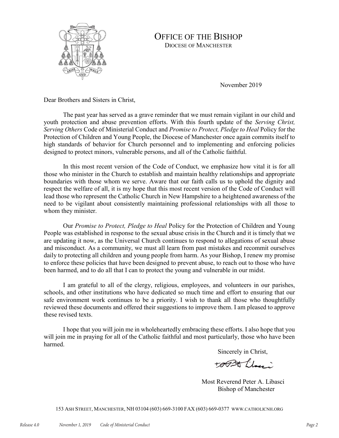

## OFFICE OF THE BISHOP

DIOCESE OF MANCHESTER

November 2019

Dear Brothers and Sisters in Christ,

The past year has served as a grave reminder that we must remain vigilant in our child and youth protection and abuse prevention efforts. With this fourth update of the *Serving Christ, Serving Others* Code of Ministerial Conduct and *Promise to Protect, Pledge to Heal* Policy for the Protection of Children and Young People, the Diocese of Manchester once again commits itself to high standards of behavior for Church personnel and to implementing and enforcing policies designed to protect minors, vulnerable persons, and all of the Catholic faithful.

In this most recent version of the Code of Conduct, we emphasize how vital it is for all those who minister in the Church to establish and maintain healthy relationships and appropriate boundaries with those whom we serve. Aware that our faith calls us to uphold the dignity and respect the welfare of all, it is my hope that this most recent version of the Code of Conduct will lead those who represent the Catholic Church in New Hampshire to a heightened awareness of the need to be vigilant about consistently maintaining professional relationships with all those to whom they minister.

Our *Promise to Protect, Pledge to Heal* Policy for the Protection of Children and Young People was established in response to the sexual abuse crisis in the Church and it is timely that we are updating it now, as the Universal Church continues to respond to allegations of sexual abuse and misconduct. As a community, we must all learn from past mistakes and recommit ourselves daily to protecting all children and young people from harm. As your Bishop, I renew my promise to enforce these policies that have been designed to prevent abuse, to reach out to those who have been harmed, and to do all that I can to protect the young and vulnerable in our midst.

I am grateful to all of the clergy, religious, employees, and volunteers in our parishes, schools, and other institutions who have dedicated so much time and effort to ensuring that our safe environment work continues to be a priority. I wish to thank all those who thoughtfully reviewed these documents and offered their suggestions to improve them. I am pleased to approve these revised texts.

I hope that you will join me in wholeheartedly embracing these efforts. I also hope that you will join me in praying for all of the Catholic faithful and most particularly, those who have been harmed.

Sincerely in Christ,

topst Lloy

 Most Reverend Peter A. Libasci Bishop of Manchester

153 ASH STREET, MANCHESTER, NH 03104 (603) 669-3100 FAX (603) 669-0377 WWW.CATHOLICNH.ORG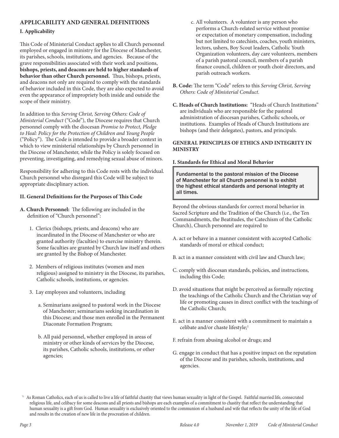#### **APPLICABILITY AND GENERAL DEFINITIONS**

#### **I. Applicability**

This Code of Ministerial Conduct applies to all Church personnel employed or engaged in ministry for the Diocese of Manchester, its parishes, schools, institutions, and agencies. Because of the grave responsibilities associated with their work and positions, **bishops, priests, and deacons are held to higher standards of behavior than other Church personnel.** Thus, bishops, priests, and deacons not only are required to comply with the standards of behavior included in this Code, they are also expected to avoid even the appearance of impropriety both inside and outside the scope of their ministry.

In addition to this *Serving Christ, Serving Others: Code of Ministerial Conduct* ("Code"), the Diocese requires that Church personnel comply with the diocesan *Promise to Protect, Pledge to Heal: Policy for the Protection of Children and Young People* ("Policy"). The Code is intended to provide a broader context in which to view ministerial relationships by Church personnel in the Diocese of Manchester, while the Policy is solely focused on preventing, investigating, and remedying sexual abuse of minors.

Responsibility for adhering to this Code rests with the individual. Church personnel who disregard this Code will be subject to appropriate disciplinary action.

#### **II. General Definitions for the Purposes of This Code**

- **A. Church Personnel:** The following are included in the definition of "Church personnel":
	- 1. Clerics (bishops, priests, and deacons) who are incardinated in the Diocese of Manchester or who are granted authority (faculties) to exercise ministry therein. Some faculties are granted by Church law itself and others are granted by the Bishop of Manchester.
	- 2. Members of religious institutes (women and men religious) assigned to ministry in the Diocese, its parishes, Catholic schools, institutions, or agencies.
	- 3. Lay employees and volunteers, including
		- a. Seminarians assigned to pastoral work in the Diocese of Manchester; seminarians seeking incardination in this Diocese; and those men enrolled in the Permanent Diaconate Formation Program;
		- b. All paid personnel, whether employed in areas of ministry or other kinds of services by the Diocese, its parishes, Catholic schools, institutions, or other agencies;
- c. All volunteers. A volunteer is any person who performs a Church-related service without promise or expectation of monetary compensation, including but not limited to catechists, coaches, youth ministers, lectors, ushers, Boy Scout leaders, Catholic Youth Organization volunteers, day care volunteers, members of a parish pastoral council, members of a parish finance council, children or youth choir directors, and parish outreach workers.
- **B. Code:** The term "Code" refers to this *Serving Christ, Serving Others: Code of Ministerial Conduct*.
- **C. Heads of Church Institutions:** "Heads of Church Institutions" are individuals who are responsible for the pastoral administration of diocesan parishes, Catholic schools, or institutions. Examples of Heads of Church Institutions are bishops (and their delegates), pastors, and principals.

#### **GENERAL PRINCIPLES OF ETHICS AND INTEGRITY IN MINISTRY**

#### **I. Standards for Ethical and Moral Behavior**

Fundamental to the pastoral mission of the Diocese of Manchester for all Church personnel is to exhibit the highest ethical standards and personal integrity at all times.

Beyond the obvious standards for correct moral behavior in Sacred Scripture and the Tradition of the Church (i.e., the Ten Commandments, the Beatitudes, the Catechism of the Catholic Church), Church personnel are required to

- A. act or behave in a manner consistent with accepted Catholic standards of moral or ethical conduct;
- B. act in a manner consistent with civil law and Church law;
- C. comply with diocesan standards, policies, and instructions, including this Code;
- D. avoid situations that might be perceived as formally rejecting the teachings of the Catholic Church and the Christian way of life or promoting causes in direct conflict with the teachings of the Catholic Church;
- E. act in a manner consistent with a commitment to maintain a celibate and/or chaste lifestyle;<sup>1</sup>
- F. refrain from abusing alcohol or drugs; and
- G. engage in conduct that has a positive impact on the reputation of the Diocese and its parishes, schools, institutions, and agencies.

<sup>&</sup>lt;sup>1.</sup> As Roman Catholics, each of us is called to live a life of faithful chastity that views human sexuality in light of the Gospel. Faithful married life, consecrated religious life, and celibacy for some deacons and all priests and bishops are each examples of a commitment to chastity that reflect the understanding that human sexuality is a gift from God. Human sexuality is exclusively oriented to the communion of a husband and wife that reflects the unity of the life of God and results in the creation of new life in the procreation of children.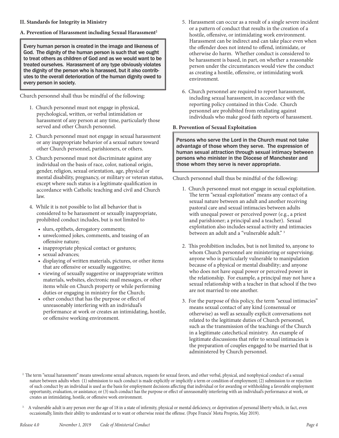#### **II. Standards for Integrity in Ministry**

#### **A. Prevention of Harassment including Sexual Harassment2**

Every human person is created in the image and likeness of God. The dignity of the human person is such that we ought to treat others as children of God and as we would want to be treated ourselves. Harassment of any type obviously violates the dignity of the person who is harassed, but it also contributes to the overall deterioration of the human dignity owed to every person in society.

Church personnel shall thus be mindful of the following:

- 1. Church personnel must not engage in physical, psychological, written, or verbal intimidation or harassment of any person at any time, particularly those served and other Church personnel.
- 2. Church personnel must not engage in sexual harassment or any inappropriate behavior of a sexual nature toward other Church personnel, parishioners, or others.
- 3. Church personnel must not discriminate against any individual on the basis of race, color, national origin, gender, religion, sexual orientation, age, physical or mental disability, pregnancy, or military or veteran status, except where such status is a legitimate qualification in accordance with Catholic teaching and civil and Church law.
- 4. While it is not possible to list all behavior that is considered to be harassment or sexually inappropriate, prohibited conduct includes, but is not limited to
	- slurs, epithets, derogatory comments;
	- unwelcomed jokes, comments, and teasing of an offensive nature;
	- inappropriate physical contact or gestures;
	- sexual advances;
	- displaying of written materials, pictures, or other items that are offensive or sexually suggestive;
	- viewing of sexually suggestive or inappropriate written materials, websites, electronic mail messages, or other items while on Church property or while performing duties or engaging in ministry for the Church;
	- other conduct that has the purpose or effect of unreasonably interfering with an individual's performance at work or creates an intimidating, hostile, or offensive working environment.
- 5. Harassment can occur as a result of a single severe incident or a pattern of conduct that results in the creation of a hostile, offensive, or intimidating work environment. Harassment can be indirect and can take place even when the offender does not intend to offend, intimidate, or otherwise do harm. Whether conduct is considered to be harassment is based, in part, on whether a reasonable person under the circumstances would view the conduct as creating a hostile, offensive, or intimidating work environment.
- 6. Church personnel are required to report harassment, including sexual harassment, in accordance with the reporting policy contained in this Code. Church personnel are prohibited from retaliating against individuals who make good faith reports of harassment.

#### **B. Prevention of Sexual Exploitation**

Persons who serve the Lord in the Church must not take advantage of those whom they serve. The expression of human sexual attraction through sexual intimacy between persons who minister in the Diocese of Manchester and those whom they serve is never appropriate.

Church personnel shall thus be mindful of the following:

- 1. Church personnel must not engage in sexual exploitation. The term "sexual exploitation" means any contact of a sexual nature between an adult and another receiving pastoral care and sexual intimacies between adults with unequal power or perceived power (e.g., a priest and parishioner; a principal and a teacher). Sexual exploitation also includes sexual activity and intimacies between an adult and a "vulnerable adult." <sup>3</sup>
- 2. This prohibition includes, but is not limited to, anyone to whom Church personnel are ministering or supervising; anyone who is particularly vulnerable to manipulation because of a physical or mental disability; and anyone who does not have equal power or perceived power in the relationship. For example, a principal may not have a sexual relationship with a teacher in that school if the two are not married to one another.
- 3. For the purpose of this policy, the term "sexual intimacies" means sexual contact of any kind (consensual or otherwise) as well as sexually explicit conversations not related to the legitimate duties of Church personnel, such as the transmission of the teachings of the Church in a legitimate catechetical ministry. An example of legitimate discussions that refer to sexual intimacies is the preparation of couples engaged to be married that is administered by Church personnel.

<sup>&</sup>lt;sup>2.</sup> The term "sexual harassment" means unwelcome sexual advances, requests for sexual favors, and other verbal, physical, and nonphysical conduct of a sexual nature between adults when (1) submission to such conduct is made explicitly or implicitly a term or condition of employment; (2) submission to or rejection of such conduct by an individual is used as the basis for employment decisions affecting that individual or for awarding or withholding a favorable employment opportunity, evaluation, or assistance; or (3) such conduct has the purpose or effect of unreasonably interfering with an individual's performance at work, or creates an intimidating, hostile, or offensive work environment.

<sup>3.</sup> A vulnerable adult is any person over the age of 18 in a state of infirmity, physical or mental deficiency, or deprivation of personal liberty which, in fact, even occasionally, limits their ability to understand or to want or otherwise resist the offense. (Pope Francis' Motu Proprio, May 2019).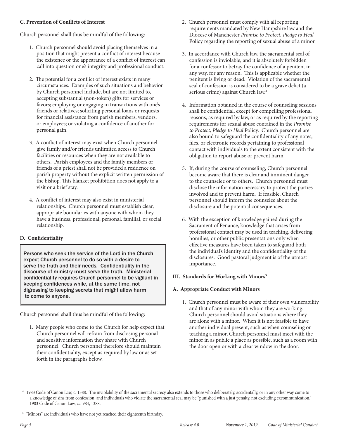#### **C. Prevention of Conflicts of Interest**

Church personnel shall thus be mindful of the following:

- 1. Church personnel should avoid placing themselves in a position that might present a conflict of interest because the existence or the appearance of a conflict of interest can call into question one's integrity and professional conduct.
- 2. The potential for a conflict of interest exists in many circumstances. Examples of such situations and behavior by Church personnel include, but are not limited to, accepting substantial (non-token) gifts for services or favors; employing or engaging in transactions with one's friends or relatives; soliciting personal loans or requests for financial assistance from parish members, vendors, or employees; or violating a confidence of another for personal gain.
- 3. A conflict of interest may exist when Church personnel give family and/or friends unlimited access to Church facilities or resources when they are not available to others. Parish employees and the family members or friends of a priest shall not be provided a residence on parish property without the explicit written permission of the bishop. This blanket prohibition does not apply to a visit or a brief stay.
- 4. A conflict of interest may also exist in ministerial relationships. Church personnel must establish clear, appropriate boundaries with anyone with whom they have a business, professional, personal, familial, or social relationship.

#### **D. Confidentiality**

Persons who seek the service of the Lord in the Church expect Church personnel to do so with a desire to serve the truth and their needs. Confidentiality in the discourse of ministry must serve the truth. Ministerial confidentiality requires Church personnel to be vigilant in keeping confidences while, at the same time, not digressing to keeping secrets that might allow harm to come to anyone.

Church personnel shall thus be mindful of the following:

1. Many people who come to the Church for help expect that Church personnel will refrain from disclosing personal and sensitive information they share with Church personnel. Church personnel therefore should maintain their confidentiality, except as required by law or as set forth in the paragraphs below.

- 2. Church personnel must comply with all reporting requirements mandated by New Hampshire law and the Diocese of Manchester *Promise to Protect, Pledge to Heal* Policy regarding the reporting of sexual abuse of a minor.
- 3. In accordance with Church law, the sacramental seal of confession is inviolable, and it is absolutely forbidden for a confessor to betray the confidence of a penitent in any way, for any reason. This is applicable whether the penitent is living or dead. Violation of the sacramental seal of confession is considered to be a grave delict (a serious crime) against Church law.4
- 4. Information obtained in the course of counseling sessions shall be confidential, except for compelling professional reasons, as required by law, or as required by the reporting requirements for sexual abuse contained in the *Promise to Protect, Pledge to Heal* Policy. Church personnel are also bound to safeguard the confidentiality of any notes, files, or electronic records pertaining to professional contact with individuals to the extent consistent with the obligation to report abuse or prevent harm.
- 5. If, during the course of counseling, Church personnel become aware that there is clear and imminent danger to the counselee or to others, Church personnel must disclose the information necessary to protect the parties involved and to prevent harm. If feasible, Church personnel should inform the counselee about the disclosure and the potential consequences.
- 6. With the exception of knowledge gained during the Sacrament of Penance, knowledge that arises from professional contact may be used in teaching, delivering homilies, or other public presentations only when effective measures have been taken to safeguard both the individual's identity and the confidentiality of the disclosures. Good pastoral judgment is of the utmost importance.

#### **III. Standards for Working with Minors5**

#### **A. Appropriate Conduct with Minors**

1. Church personnel must be aware of their own vulnerability and that of any minor with whom they are working. Church personnel should avoid situations where they are alone with a minor. When it is not feasible to have another individual present, such as when counseling or teaching a minor, Church personnel must meet with the minor in as public a place as possible, such as a room with the door open or with a clear window in the door.

<sup>4. 1983</sup> Code of Canon Law, c. 1388. The inviolability of the sacramental secrecy also extends to those who deliberately, accidentally, or in any other way come to a knowledge of sins from confession, and individuals who violate the sacramental seal may be "punished with a just penalty, not excluding excommunication." 1983 Code of Canon Law, cc. 984, 1388.

<sup>&</sup>lt;sup>5.</sup> "Minors" are individuals who have not yet reached their eighteenth birthday.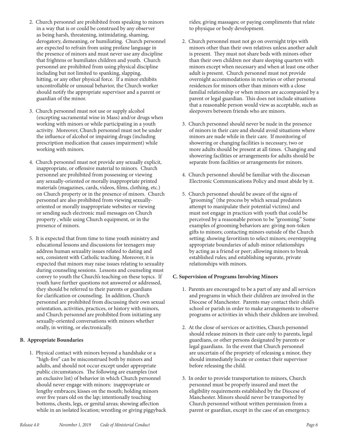- 2. Church personnel are prohibited from speaking to minors in a way that is or could be construed by any observer as being harsh, threatening, intimidating, shaming, derogatory, demeaning, or humiliating. Church personnel are expected to refrain from using profane language in the presence of minors and must never use any discipline that frightens or humiliates children and youth. Church personnel are prohibited from using physical discipline including but not limited to spanking, slapping, hitting, or any other physical force. If a minor exhibits uncontrollable or unusual behavior, the Church worker should notify the appropriate supervisor and a parent or guardian of the minor.
- 3. Church personnel must not use or supply alcohol (excepting sacramental wine in Mass) and/or drugs when working with minors or while participating in a youth activity. Moreover, Church personnel must not be under the influence of alcohol or impairing drugs (including prescription medication that causes impairment) while working with minors.
- 4. Church personnel must not provide any sexually explicit, inappropriate, or offensive material to minors. Church personnel are prohibited from possessing or viewing any sexually-oriented or morally inappropriate printed materials (magazines, cards, videos, films, clothing, etc.) on Church property or in the presence of minors. Church personnel are also prohibited from viewing sexuallyoriented or morally inappropriate websites or viewing or sending such electronic mail messages on Church property , while using Church equipment, or in the presence of minors.
- 5. It is expected that from time to time youth ministry and educational lessons and discussions for teenagers may address human sexuality issues related to dating and sex, consistent with Catholic teaching. Moreover, it is expected that minors may raise issues relating to sexuality during counseling sessions. Lessons and counseling must convey to youth the Church's teaching on these topics. If youth have further questions not answered or addressed, they should be referred to their parents or guardians for clarification or counseling. In addition, Church personnel are prohibited from discussing their own sexual orientation, activities, practices, or history with minors, and Church personnel are prohibited from initiating any sexually-oriented conversations with minors whether orally, in writing, or electronically.

#### **B. Appropriate Boundaries**

1. Physical contact with minors beyond a handshake or a "high-five" can be misconstrued both by minors and adults, and should not occur except under appropriate public circumstances. The following are examples (not an exclusive list) of behavior in which Church personnel should never engage with minors: inappropriate or lengthy embraces; kisses on the mouth; holding minors over five years old on the lap; intentionally touching bottoms, chests, legs, or genital areas; showing affection while in an isolated location; wrestling or giving piggyback rides; giving massages; or paying compliments that relate to physique or body development.

- 2. Church personnel must not go on overnight trips with minors other than their own relatives unless another adult is present. They must not share beds with minors other than their own children nor share sleeping quarters with minors except when necessary and when at least one other adult is present. Church personnel must not provide overnight accommodations in rectories or other personal residences for minors other than minors with a close familial relationship or when minors are accompanied by a parent or legal guardian. This does not include situations that a reasonable person would view as acceptable, such as sleepovers between friends who are minors.
- 3. Church personnel should never be nude in the presence of minors in their care and should avoid situations where minors are nude while in their care. If monitoring of showering or changing facilities is necessary, two or more adults should be present at all times. Changing and showering facilities or arrangements for adults should be separate from facilities or arrangements for minors.
- 4. Church personnel should be familiar with the diocesan Electronic Communications Policy and must abide by it.
- 5. Church personnel should be aware of the signs of "grooming" (the process by which sexual predators attempt to manipulate their potential victims) and must not engage in practices with youth that could be perceived by a reasonable person to be "grooming." Some examples of grooming behaviors are: giving non-token gifts to minors; contacting minors outside of the Church setting; showing favoritism to select minors; overstepping appropriate boundaries of adult-minor relationships by acting as a friend or peer; allowing minors to break established rules; and establishing separate, private relationships with minors.

#### **C. Supervision of Programs Involving Minors**

- 1. Parents are encouraged to be a part of any and all services and programs in which their children are involved in the Diocese of Manchester. Parents may contact their child's school or parish in order to make arrangements to observe programs or activities in which their children are involved.
- 2. At the close of services or activities, Church personnel should release minors in their care only to parents, legal guardians, or other persons designated by parents or legal guardians. In the event that Church personnel are uncertain of the propriety of releasing a minor, they should immediately locate or contact their supervisor before releasing the child.
- 3. In order to provide transportation to minors, Church personnel must be properly insured and meet the eligibility requirements established by the Diocese of Manchester. Minors should never be transported by Church personnel without written permission from a parent or guardian, except in the case of an emergency.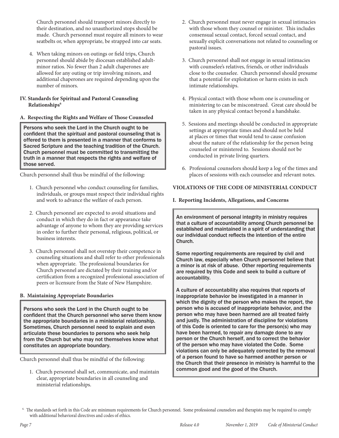Church personnel should transport minors directly to their destination, and no unauthorized stops should be made. Church personnel must require all minors to wear seatbelts or, when appropriate, be strapped into car seats.

4. When taking minors on outings or field trips, Church personnel should abide by diocesan established adultminor ratios. No fewer than 2 adult chaperones are allowed for any outing or trip involving minors, and additional chaperones are required depending upon the number of minors.

#### **IV. Standards for Spiritual and Pastoral Counseling Relationships6**

#### **A. Respecting the Rights and Welfare of Those Counseled**

Persons who seek the Lord in the Church ought to be confident that the spiritual and pastoral counseling that is offered to them is presented in a manner that conforms to Sacred Scripture and the teaching tradition of the Church. Church personnel must be committed to transmitting the truth in a manner that respects the rights and welfare of those served.

Church personnel shall thus be mindful of the following:

- 1. Church personnel who conduct counseling for families, individuals, or groups must respect their individual rights and work to advance the welfare of each person.
- 2. Church personnel are expected to avoid situations and conduct in which they do in fact or appearance take advantage of anyone to whom they are providing services in order to further their personal, religious, political, or business interests.
- 3. Church personnel shall not overstep their competence in counseling situations and shall refer to other professionals when appropriate. The professional boundaries for Church personnel are dictated by their training and/or certification from a recognized professional association of peers or licensure from the State of New Hampshire.

#### **B. Maintaining Appropriate Boundaries**

Persons who seek the Lord in the Church ought to be confident that the Church personnel who serve them know the appropriate boundaries in a ministerial relationship. Sometimes, Church personnel need to explain and even articulate these boundaries to persons who seek help from the Church but who may not themselves know what constitutes an appropriate boundary.

Church personnel shall thus be mindful of the following:

1. Church personnel shall set, communicate, and maintain clear, appropriate boundaries in all counseling and ministerial relationships.

- 2. Church personnel must never engage in sexual intimacies with those whom they counsel or minister. This includes consensual sexual contact, forced sexual contact, and sexually explicit conversations not related to counseling or pastoral issues.
- 3. Church personnel shall not engage in sexual intimacies with counselee's relatives, friends, or other individuals close to the counselee. Church personnel should presume that a potential for exploitation or harm exists in such intimate relationships.
- 4. Physical contact with those whom one is counseling or ministering to can be misconstrued. Great care should be taken in any physical contact beyond a handshake.
- 5. Sessions and meetings should be conducted in appropriate settings at appropriate times and should not be held at places or times that would tend to cause confusion about the nature of the relationship for the person being counseled or ministered to. Sessions should not be conducted in private living quarters.
- 6. Professional counselors should keep a log of the times and places of sessions with each counselee and relevant notes.

#### **VIOLATIONS OF THE CODE OF MINISTERIAL CONDUCT**

#### **I. Reporting Incidents, Allegations, and Concerns**

An environment of personal integrity in ministry requires that a culture of accountability among Church personnel be established and maintained in a spirit of understanding that our individual conduct reflects the intention of the entire Church.

Some reporting requirements are required by civil and Church law, especially when Church personnel believe that a minor is at risk of abuse. Other reporting requirements are required by this Code and seek to build a culture of accountability.

A culture of accountability also requires that reports of inappropriate behavior be investigated in a manner in which the dignity of the person who makes the report, the person who is accused of inappropriate behavior, and the person who may have been harmed are all treated fairly and justly. The administration of discipline for violations of this Code is oriented to care for the person(s) who may have been harmed, to repair any damage done to any person or the Church herself, and to correct the behavior of the person who may have violated the Code. Some violations can only be adequately corrected by the removal of a person found to have so harmed another person or the Church that their presence in ministry is harmful to the common good and the good of the Church.

<sup>&</sup>lt;sup>6.</sup> The standards set forth in this Code are minimum requirements for Church personnel. Some professional counselors and therapists may be required to comply with additional behavioral directives and codes of ethics.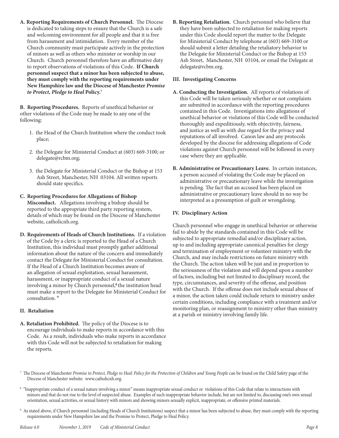**A. Reporting Requirements of Church Personnel.** The Diocese is dedicated to taking steps to ensure that the Church is a safe and welcoming environment for all people and that it is free from harassment and intimidation. Every member of the Church community must participate actively in the protection of minors as well as others who minister or worship in our Church. Church personnel therefore have an affirmative duty to report observations of violations of this Code. **If Church personnel suspect that a minor has been subjected to abuse, they must comply with the reporting requirements under New Hampshire law and the Diocese of Manchester** *Promise to Protect, Pledge to Heal* **Policy.7**

**B. Reporting Procedures.** Reports of unethical behavior or other violations of the Code may be made to any one of the following:

- 1. the Head of the Church Institution where the conduct took place;
- 2. the Delegate for Ministerial Conduct at (603) 669-3100; or delegate@rcbm.org;
- 3. the Delegate for Ministerial Conduct or the Bishop at 153 Ash Street, Manchester, NH 03104. All written reports should state specifics.

#### **C. Reporting Procedures for Allegations of Bishop Misconduct.** Allegations involving a bishop should be reported to the appropriate third party reporting system, details of which may be found on the Diocese of Manchester website, catholicnh.org.

**D. Requirements of Heads of Church Institutions.** If a violation of the Code by a cleric is reported to the Head of a Church Institution, this individual must promptly gather additional information about the nature of the concern and immediately contact the Delegate for Ministerial Conduct for consultation. If the Head of a Church Institution becomes aware of an allegation of sexual exploitation, sexual harassment, harassment, or inappropriate conduct of a sexual nature involving a minor by Church personnel,**<sup>8</sup>**the institution head must make a report to the Delegate for Ministerial Conduct for consultation. **<sup>9</sup>**

#### **II. Retaliation**

**A. Retaliation Prohibited.** The policy of the Diocese is to encourage individuals to make reports in accordance with this Code. As a result, individuals who make reports in accordance with this Code will not be subjected to retaliation for making the reports.

**B. Reporting Retaliation.** Church personnel who believe that they have been subjected to retaliation for making reports under this Code should report the matter to the Delegate for Ministerial Conduct by telephone at (603) 669-3100 or should submit a letter detailing the retaliatory behavior to the Delegate for Ministerial Conduct or the Bishop at 153 Ash Street, Manchester, NH 03104, or email the Delegate at delegate@rcbm.org.

#### **III. Investigating Concerns**

- **A. Conducting the Investigation.** All reports of violations of this Code will be taken seriously whether or not complaints are submitted in accordance with the reporting procedures contained in this Code. Investigations into allegations of unethical behavior or violations of this Code will be conducted thoroughly and expeditiously, with objectivity, fairness, and justice as well as with due regard for the privacy and reputations of all involved. Canon law and any protocols developed by the diocese for addressing allegations of Code violations against Church personnel will be followed in every case where they are applicable.
- **B. Administrative or Precautionary Leave.** In certain instances, a person accused of violating the Code may be placed on administrative or precautionary leave while the investigation is pending. The fact that an accused has been placed on administrative or precautionary leave should in no way be interpreted as a presumption of guilt or wrongdoing.

#### **IV. Disciplinary Action**

Church personnel who engage in unethical behavior or otherwise fail to abide by the standards contained in this Code will be subjected to appropriate remedial and/or disciplinary action, up to and including appropriate canonical penalties for clergy and termination of employment or volunteer ministry with the Church, and may include restrictions on future ministry with the Church. The action taken will be just and in proportion to the seriousness of the violation and will depend upon a number of factors, including but not limited to disciplinary record, the type, circumstances, and severity of the offense, and position with the Church. If the offense does not include sexual abuse of a minor, the action taken could include return to ministry under certain conditions, including compliance with a treatment and/or monitoring plan, or reassignment to ministry other than ministry at a parish or ministry involving family life.

7. The Diocese of Manchester *Promise to Protect, Pledge to Heal: Policy for the Protection of Children and Young People* can be found on the Child Safety page of the Diocese of Manchester website: www.catholicnh.org.

- 8. "Inappropriate conduct of a sexual nature involving a minor" means inappropriate sexual conduct or violations of this Code that relate to interactions with minors and that do not rise to the level of suspected abuse. Examples of such inappropriate behavior include, but are not limited to, discussing one's own sexual orientation, sexual activities, or sexual history with minors and showing minors sexually explicit, inappropriate, or offensive printed materials.
- 9. As stated above, if Church personnel (including Heads of Church Institutions) suspect that a minor has been subjected to abuse, they must comply with the reporting requirements under New Hampshire law and the Promise to Protect, Pledge to Heal Policy.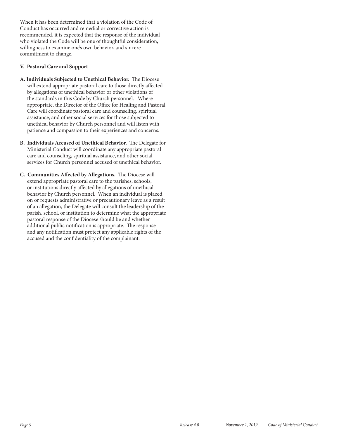When it has been determined that a violation of the Code of Conduct has occurred and remedial or corrective action is recommended, it is expected that the response of the individual who violated the Code will be one of thoughtful consideration, willingness to examine one's own behavior, and sincere commitment to change.

#### **V. Pastoral Care and Support**

- **A. Individuals Subjected to Unethical Behavior.** The Diocese will extend appropriate pastoral care to those directly affected by allegations of unethical behavior or other violations of the standards in this Code by Church personnel. Where appropriate, the Director of the Office for Healing and Pastoral Care will coordinate pastoral care and counseling, spiritual assistance, and other social services for those subjected to unethical behavior by Church personnel and will listen with patience and compassion to their experiences and concerns.
- **B. Individuals Accused of Unethical Behavior.** The Delegate for Ministerial Conduct will coordinate any appropriate pastoral care and counseling, spiritual assistance, and other social services for Church personnel accused of unethical behavior.
- **C. Communities Affected by Allegations.** The Diocese will extend appropriate pastoral care to the parishes, schools, or institutions directly affected by allegations of unethical behavior by Church personnel. When an individual is placed on or requests administrative or precautionary leave as a result of an allegation, the Delegate will consult the leadership of the parish, school, or institution to determine what the appropriate pastoral response of the Diocese should be and whether additional public notification is appropriate. The response and any notification must protect any applicable rights of the accused and the confidentiality of the complainant.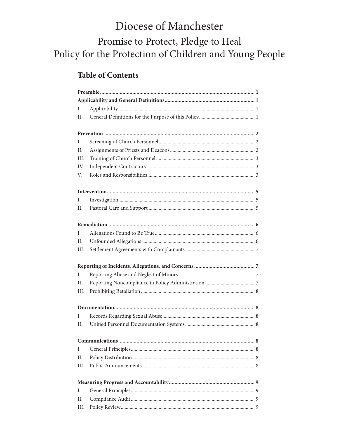# Diocese of Manchester Promise to Protect, Pledge to Heal Policy for the Protection of Children and Young People

# **Table of Contents**

| Ι.   |  |  |
|------|--|--|
| II.  |  |  |
|      |  |  |
| I.   |  |  |
| II.  |  |  |
| III. |  |  |
| IV.  |  |  |
| V.   |  |  |
|      |  |  |
| L.   |  |  |
| Н.   |  |  |
|      |  |  |
| L.   |  |  |
| II.  |  |  |
| III. |  |  |
|      |  |  |
| I.   |  |  |
| II.  |  |  |
| III. |  |  |
|      |  |  |
| L.   |  |  |
| Н.   |  |  |
|      |  |  |
| L.   |  |  |
| П.   |  |  |
| III. |  |  |
|      |  |  |
| I.   |  |  |
| II.  |  |  |
| III. |  |  |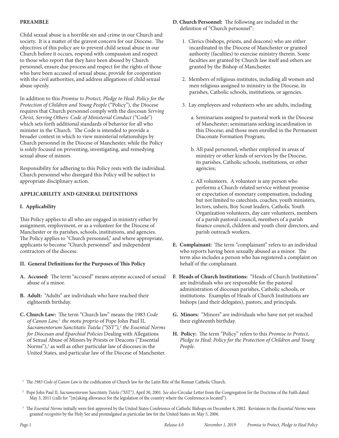#### **PREAMBLE**

Child sexual abuse is a horrible sin and crime in our Church and society. It is a matter of the gravest concern for our Diocese. The objectives of this policy are to prevent child sexual abuse in our Church before it occurs, respond with compassion and respect to those who report that they have been abused by Church personnel, ensure due process and respect for the rights of those who have been accused of sexual abuse, provide for cooperation with the civil authorities, and address allegations of child sexual abuse openly.

In addition to this *Promise to Protect, Pledge to Heal: Policy for the Protection of Children and Young People* ("Policy"), the Diocese requires that Church personnel comply with the diocesan *Serving Christ, Serving Others: Code of Ministerial Conduct* ("Code") which sets forth additional standards of behavior for all who minister in the Church. The Code is intended to provide a broader context in which to view ministerial relationships by Church personnel in the Diocese of Manchester, while the Policy is solely focused on preventing, investigating, and remedying sexual abuse of minors.

Responsibility for adhering to this Policy rests with the individual. Church personnel who disregard this Policy will be subject to appropriate disciplinary action.

#### **APPLICABILITY AND GENERAL DEFINITIONS**

#### **I. Applicability**

This Policy applies to all who are engaged in ministry either by assignment, employment, or as a volunteer for the Diocese of Manchester or its parishes, schools, institutions, and agencies. The Policy applies to "Church personnel," and where appropriate, applicants to become "Church personnel" and independent contractors of the diocese.

#### **II. General Definitions for the Purposes of This Policy**

- **A. Accused:** The term "accused" means anyone accused of sexual abuse of a minor.
- **B. Adult:** "Adults" are individuals who have reached their eighteenth birthday.
- **C. Church Law:** The term "Church law" means the 1983 *Code of Canon Law,1 the motu proprio* of Pope John Paul II, *Sacramentorum Sanctitatis Tutela ("SST"),2 the Essential Norms for Diocesan and Eparchial Policies* Dealing with Allegations of Sexual Abuse of Minors by Priests or Deacons ("Essential Norms"),<sup>3</sup> as well as other particular law of dioceses in the United States, and particular law of the Diocese of Manchester.
- **D. Church Personnel:** The following are included in the definition of "Church personnel":
	- 1. Clerics (bishops, priests, and deacons) who are either incardinated in the Diocese of Manchester or granted authority (faculties) to exercise ministry therein. Some faculties are granted by Church law itself and others are granted by the Bishop of Manchester.
	- 2. Members of religious institutes, including all women and men religious assigned to ministry in the Diocese, its parishes, Catholic schools, institutions, or agencies.
	- 3. Lay employees and volunteers who are adults, including
		- a. Seminarians assigned to pastoral work in the Diocese of Manchester; seminarians seeking incardination in this Diocese; and those men enrolled in the Permanent Diaconate Formation Program;
		- b. All paid personnel, whether employed in areas of ministry or other kinds of services by the Diocese, its parishes, Catholic schools, institutions, or other agencies;
		- c. All volunteers. A volunteer is any person who performs a Church-related service without promise or expectation of monetary compensation, including but not limited to catechists, coaches, youth ministers, lectors, ushers, Boy Scout leaders, Catholic Youth Organization volunteers, day care volunteers, members of a parish pastoral council, members of a parish finance council, children and youth choir directors, and parish outreach workers.
- **E. Complainant:** The term "complainant" refers to an individual who reports having been sexually abused as a minor. The term also includes a person who has registered a complaint on behalf of the complainant.
- **F. Heads of Church Institutions:** "Heads of Church Institutions" are individuals who are responsible for the pastoral administration of diocesan parishes, Catholic schools, or institutions. Examples of Heads of Church Institutions are bishops (and their delegates), pastors, and principals.
- **G. Minors:** "Minors" are individuals who have not yet reached their eighteenth birthday.
- **H. Policy:** The term "Policy" refers to this *Promise to Protect, Pledge to Heal*: *Policy for the Protection of Children and Young People*.

1. The *1983 Code of Canon Law* is the codification of Church law for the Latin Rite of the Roman Catholic Church.

- 2. Pope John Paul II, *Sacramentorum Sanctitatis Tutela ("SST")*, April 30, 2001. *See also* Circular Letter from the Congregation for the Doctrine of the Faith dated May 3, 2011 (calls for "[m]aking allowance for the legislation of the country where the Conference is located").
- 3. The *Essential Norms* initially were first approved by the United States Conference of Catholic Bishops on December 8, 2002. Revisions to the *Essential Norms* were granted *recognitio* by the Holy See and promulgated as particular law for the United States on May 5, 2006.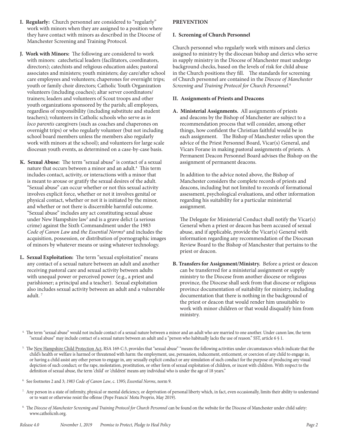- **I. Regularly:** Church personnel are considered to "regularly" work with minors when they are assigned to a position where they have contact with minors as described in the Diocese of Manchester Screening and Training Protocol.
- **J. Work with Minors:** The following are considered to work with minors: catechetical leaders (facilitators, coordinators, directors); catechists and religious education aides; pastoral associates and ministers; youth ministers; day care/after school care employees and volunteers; chaperones for overnight trips; youth or family choir directors; Catholic Youth Organization volunteers (including coaches); altar server coordinators/ trainers; leaders and volunteers of Scout troops and other youth organizations sponsored by the parish; all employees, regardless of responsibility (including substitute and student teachers); volunteers in Catholic schools who serve as *in loco parentis* caregivers (such as coaches and chaperones on overnight trips) or who regularly volunteer (but not including school board members unless the members also regularly work with minors at the school); and volunteers for large scale diocesan youth events, as determined on a case-by-case basis.
- **K. Sexual Abuse:** The term "sexual abuse" is contact of a sexual nature that occurs between a minor and an adult.<sup>4</sup> This term includes contact, activity, or interactions with a minor that is meant to arouse or gratify the sexual desires of the adult. "Sexual abuse" can occur whether or not this sexual activity involves explicit force, whether or not it involves genital or physical contact, whether or not it is initiated by the minor, and whether or not there is discernible harmful outcome. "Sexual abuse" includes any act constituting sexual abuse under New Hampshire law<sup>5</sup> and is a grave delict (a serious crime) against the Sixth Commandment under the 1983 *Code of Canon Law* and *the Essential Norms*<sup>6</sup> and includes the acquisition, possession, or distribution of pornographic images of minors by whatever means or using whatever technology.
- **L. Sexual Exploitation:** The term "sexual exploitation" means any contact of a sexual nature between an adult and another receiving pastoral care and sexual activity between adults with unequal power or perceived power (e.g., a priest and parishioner; a principal and a teacher). Sexual exploitation also includes sexual activity between an adult and a vulnerable adult. 7

#### **PREVENTION**

#### **I. Screening of Church Personnel**

Church personnel who regularly work with minors and clerics assigned to ministry by the diocesan bishop and clerics who serve in supply ministry in the Diocese of Manchester must undergo background checks, based on the levels of risk for child abuse in the Church positions they fill. The standards for screening of Church personnel are contained in the *Diocese of Manchester Screening and Training Protocol for Church Personnel.*<sup>8</sup>

#### **II. Assignments of Priests and Deacons**

**A. Ministerial Assignments.** All assignments of priests and deacons by the Bishop of Manchester are subject to a recommendation process that will consider, among other things, how confident the Christian faithful would be in each assignment. The Bishop of Manchester relies upon the advice of the Priest Personnel Board, Vicar(s) General, and Vicars Forane in making pastoral assignments of priests. A Permanent Deacon Personnel Board advises the Bishop on the assignment of permanent deacons.

In addition to the advice noted above, the Bishop of Manchester considers the complete records of priests and deacons, including but not limited to records of formational assessment, psychological evaluations, and other information regarding his suitability for a particular ministerial assignment.

The Delegate for Ministerial Conduct shall notify the Vicar(s) General when a priest or deacon has been accused of sexual abuse, and if applicable, provide the Vicar(s) General with information regarding any recommendation of the Diocesan Review Board to the Bishop of Manchester that pertains to the priest or deacon.

- **B. Transfers for Assignment/Ministry.** Before a priest or deacon can be transferred for a ministerial assignment or supply ministry to the Diocese from another diocese or religious province, the Diocese shall seek from that diocese or religious province documentation of suitability for ministry, including documentation that there is nothing in the background of the priest or deacon that would render him unsuitable to work with minor children or that would disqualify him from ministry.
- 4. The term "sexual abuse" would not include contact of a sexual nature between a minor and an adult who are married to one another. Under canon law, the term "sexual abuse" may include contact of a sexual nature between an adult and a "person who habitually lacks the use of reason." SST, article 6 § 1.
- <sup>5.</sup> The New Hampshire Child Protection Act, RSA 169-C:3, provides that "sexual abuse" "means the following activities under circumstances which indicate that the child's health or welfare is harmed or threatened with harm: the employment, use, persuasion, inducement, enticement, or coercion of any child to engage in, or having a child assist any other person to engage in, any sexually explicit conduct or any simulation of such conduct for the purpose of producing any visual depiction of such conduct; or the rape, molestation, prostitution, or other form of sexual exploitation of children, or incest with children. With respect to the definition of sexual abuse, the term 'child' or 'children' means any individual who is under the age of 18 years."
- 6. See footnotes 2 and 3; *1983 Code of Canon Law*, c. 1395; *Essential Norms*, norm 9.
- $7.$  Any person in a state of infirmity, physical or mental deficiency, or deprivation of personal liberty which, in fact, even occasionally, limits their ability to understand or to want or otherwise resist the offense (Pope Francis' Motu Proprio, May 2019).
- 8. The *Diocese of Manchester Screening and Training Protocol for Church Personnel* can be found on the website for the Diocese of Manchester under child safety: www.catholicnh.org.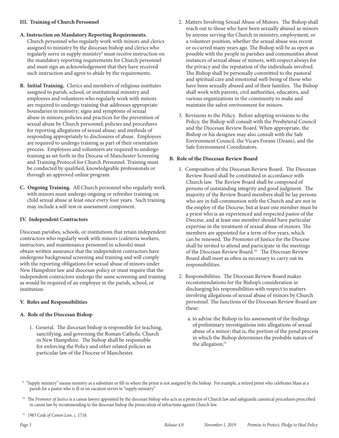#### **III. Training of Church Personnel**

#### **A. Instruction on Mandatory Reporting Requirements.**

- Church personnel who regularly work with minors and clerics assigned to ministry by the diocesan bishop and clerics who regularly serve in supply ministry<sup>9</sup> must receive instruction on the mandatory reporting requirements for Church personnel and must sign an acknowledgement that they have received such instruction and agree to abide by the requirements.
- **B. Initial Training.** Clerics and members of religious institutes assigned to parish, school, or institutional ministry and employees and volunteers who regularly work with minors are required to undergo training that addresses appropriate boundaries in ministry; signs and symptoms of sexual abuse in minors; policies and practices for the prevention of sexual abuse by Church personnel; policies and procedures for reporting allegations of sexual abuse; and methods of responding appropriately to disclosures of abuse. Employees are required to undergo training as part of their orientation process. Employees and volunteers are required to undergo training as set forth in the Diocese of Manchester Screening and Training Protocol for Church Personnel. Training must be conducted by qualified, knowledgeable professionals or through an approved online program.
- **C. Ongoing Training.** All Church personnel who regularly work with minors must undergo ongoing or refresher training on child sexual abuse at least once every four years. Such training may include a self-test or assessment component.

#### **IV. Independent Contractors**

Diocesan parishes, schools, or institutions that retain independent contractors who regularly work with minors (cafeteria workers, instructors, and maintenance personnel in schools) must obtain written assurance that the independent contractors have undergone background screening and training and will comply with the reporting obligations for sexual abuse of minors under New Hampshire law and diocesan policy or must require that the independent contractors undergo the same screening and training as would be required of an employee in the parish, school, or institution.

#### **V. Roles and Responsibilities**

#### **A. Role of the Diocesan Bishop**

1. General. The diocesan bishop is responsible for teaching, sanctifying, and governing the Roman Catholic Church in New Hampshire. The bishop shall be responsible for enforcing the Policy and other related policies as particular law of the Diocese of Manchester.

- 2. Matters Involving Sexual Abuse of Minors. The Bishop shall reach out to those who have been sexually abused as minors by anyone serving the Church in ministry, employment, or a volunteer position, whether the sexual abuse was recent or occurred many years ago. The Bishop will be as open as possible with the people in parishes and communities about instances of sexual abuse of minors, with respect always for the privacy and the reputation of the individuals involved. The Bishop shall be personally committed to the pastoral and spiritual care and emotional well-being of those who have been sexually abused and of their families. The Bishop shall work with parents, civil authorities, educators, and various organizations in the community to make and maintain the safest environment for minors.
- 3. Revisions to the Policy. Before adopting revisions to the Policy, the Bishop will consult with the Presbyteral Council and the Diocesan Review Board. When appropriate, the Bishop or his designee may also consult with the Safe Environment Council, the Vicars Forane (Deans), and the Safe Environment Coordinators.

#### **B. Role of the Diocesan Review Board**

- 1. Composition of the Diocesan Review Board. The Diocesan Review Board shall be constituted in accordance with Church law. The Review Board shall be composed of persons of outstanding integrity and good judgment. The majority of the Review Board members shall be lay persons who are in full communion with the Church and are not in the employ of the Diocese; but at least one member must be a priest who is an experienced and respected pastor of the Diocese, and at least one member should have particular expertise in the treatment of sexual abuse of minors. The members are appointed for a term of five years, which can be renewed. The Promoter of Justice for the Diocese shall be invited to attend and participate in the meetings of the Diocesan Review Board.10 The Diocesan Review Board shall meet as often as necessary to carry out its responsibilities.
- 2. Responsibilities. The Diocesan Review Board makes recommendations for the Bishop's consideration in discharging his responsibilities with respect to matters involving allegations of sexual abuse of minors by Church personnel. The functions of the Diocesan Review Board are these:
	- a. to advise the Bishop in his assessment of the findings of preliminary investigations into allegations of sexual abuse of a minor; that is, the portion of the penal process in which the Bishop determines the probable nature of the allegation;<sup>11</sup>

9. "Supply ministry" means ministry as a substitute or fill-in where the priest is not assigned by the bishop. For example, a retired priest who celebrates Mass at a parish for a pastor who is ill or on vacation serves in "supply ministry."

<sup>&</sup>lt;sup>10.</sup> The Promoter of Justice is a canon lawyer appointed by the diocesan bishop who acts as a protector of Church law and safeguards canonical procedures prescribed in canon law by recommending to the diocesan bishop the prosecution of infractions against Church law.

<sup>11.</sup> *1983 Code of Canon Law*, c. 1718.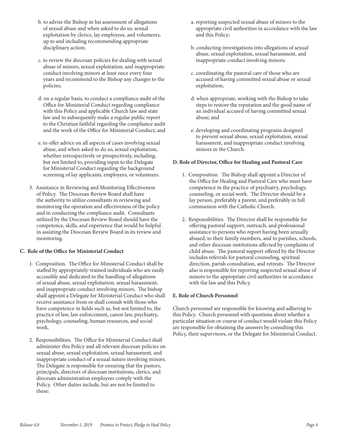- b. to advise the Bishop in his assessment of allegations of sexual abuse and when asked to do so, sexual exploitation by clerics, lay employees, and volunteers, up to and including recommending appropriate disciplinary action;
- c. to review the diocesan policies for dealing with sexual abuse of minors, sexual exploitation, and inappropriate conduct involving minors at least once every four years and recommend to the Bishop any changes to the policies;
- d. on a regular basis, to conduct a compliance audit of the Office for Ministerial Conduct regarding compliance with this Policy and applicable Church law and state law and to subsequently make a regular public report to the Christian faithful regarding the compliance audit and the work of the Office for Ministerial Conduct; and
- e. to offer advice on all aspects of cases involving sexual abuse, and when asked to do so, sexual exploitation, whether retrospectively or prospectively, including, but not limited to, providing input to the Delegate for Ministerial Conduct regarding the background screening of lay applicants, employees, or volunteers.
- 3. Assistance in Reviewing and Monitoring Effectiveness of Policy. The Diocesan Review Board shall have the authority to utilize consultants in reviewing and monitoring the operation and effectiveness of the policy and in conducting the compliance audit. Consultants utilized by the Diocesan Review Board should have the competence, skills, and experience that would be helpful in assisting the Diocesan Review Board in its review and monitoring.

#### **C. Role of the Office for Ministerial Conduct**

- 1. Composition. The Office for Ministerial Conduct shall be staffed by appropriately-trained individuals who are easily accessible and dedicated to the handling of allegations of sexual abuse, sexual exploitation, sexual harassment, and inappropriate conduct involving minors. The bishop shall appoint a Delegate for Ministerial Conduct who shall receive assistance from or shall consult with those who have competence in fields such as, but not limited to, the practice of law, law enforcement, canon law, psychiatry, psychology, counseling, human resources, and social work.
- 2. Responsibilities. The Office for Ministerial Conduct shall administer this Policy and all relevant diocesan policies on sexual abuse, sexual exploitation, sexual harassment, and inappropriate conduct of a sexual nature involving minors. The Delegate is responsible for ensuring that the pastors, principals, directors of diocesan institutions, clerics, and diocesan administration employees comply with the Policy. Other duties include, but are not be limited to these:
- a. reporting suspected sexual abuse of minors to the appropriate civil authorities in accordance with the law and this Policy;
- b. conducting investigations into allegations of sexual abuse, sexual exploitation, sexual harassment, and inappropriate conduct involving minors;
- c. coordinating the pastoral care of those who are accused of having committed sexual abuse or sexual exploitation;
- d. when appropriate, working with the Bishop to take steps to restore the reputation and the good name of an individual accused of having committed sexual abuse; and
- e. developing and coordinating programs designed to prevent sexual abuse, sexual exploitation, sexual harassment, and inappropriate conduct involving minors in the Church.

#### **D. Role of Director, Office for Healing and Pastoral Care**

- 1. Composition. The Bishop shall appoint a Director of the Office for Healing and Pastoral Care who must have competence in the practice of psychiatry, psychology, counseling, or social work. The Director should be a lay person, preferably a parent, and preferably in full communion with the Catholic Church.
- 2. Responsibilities. The Director shall be responsible for offering pastoral support, outreach, and professional assistance to persons who report having been sexually abused, to their family members, and to parishes, schools, and other diocesan institutions affected by complaints of child abuse. The pastoral support offered by the Director includes referrals for pastoral counseling, spiritual direction, parish consultation, and retreats. The Director also is responsible for reporting suspected sexual abuse of minors to the appropriate civil authorities in accordance with the law and this Policy.

#### **E. Role of Church Personnel**

Church personnel are responsible for knowing and adhering to this Policy. Church personnel with questions about whether a particular situation or course of conduct would violate this Policy are responsible for obtaining the answers by consulting this Policy, their supervisors, or the Delegate for Ministerial Conduct.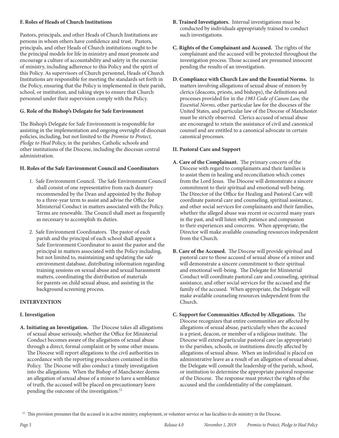#### **F. Roles of Heads of Church Institutions**

Pastors, principals, and other Heads of Church Institutions are persons in whom others have confidence and trust. Pastors, principals, and other Heads of Church institutions ought to be the principal models for life in ministry and must promote and encourage a culture of accountability and safety in the exercise of ministry, including adherence to this Policy and the spirit of this Policy. As supervisors of Church personnel, Heads of Church Institutions are responsible for meeting the standards set forth in the Policy, ensuring that the Policy is implemented in their parish, school, or institution, and taking steps to ensure that Church personnel under their supervision comply with the Policy.

#### **G. Role of the Bishop's Delegate for Safe Environment**

The Bishop's Delegate for Safe Environment is responsible for assisting in the implementation and ongoing oversight of diocesan policies, including, but not limited to the *Promise to Protect, Pledge to Heal* Policy, in the parishes, Catholic schools and other institutions of the Diocese, including the diocesan central administration.

#### **H. Roles of the Safe Environment Council and Coordinators**

- 1. Safe Environment Council. The Safe Environment Council shall consist of one representative from each deanery recommended by the Dean and appointed by the Bishop to a three-year term to assist and advise the Office for Ministerial Conduct in matters associated with the Policy. Terms are renewable. The Council shall meet as frequently as necessary to accomplish its duties.
- 2. Safe Environment Coordinators. The pastor of each parish and the principal of each school shall appoint a Safe Environment Coordinator to assist the pastor and the principal in matters associated with the Policy including, but not limited to, maintaining and updating the safe environment database, distributing information regarding training sessions on sexual abuse and sexual harassment matters, coordinating the distribution of materials for parents on child sexual abuse, and assisting in the background screening process.

#### **INTERVENTION**

#### **I. Investigation**

**A. Initiating an Investigation.** The Diocese takes all allegations of sexual abuse seriously, whether the Office for Ministerial Conduct becomes aware of the allegations of sexual abuse through a direct, formal complaint or by some other means. The Diocese will report allegations to the civil authorities in accordance with the reporting procedures contained in this Policy. The Diocese will also conduct a timely investigation into the allegations. When the Bishop of Manchester deems an allegation of sexual abuse of a minor to have a semblance of truth, the accused will be placed on precautionary leave pending the outcome of the investigation.12

- **B. Trained Investigators.** Internal investigations must be conducted by individuals appropriately trained to conduct such investigations.
- **C. Rights of the Complainant and Accused.** The rights of the complainant and the accused will be protected throughout the investigation process. Those accused are presumed innocent pending the results of an investigation.
- **D. Compliance with Church Law and the Essential Norms.** In matters involving allegations of sexual abuse of minors by clerics (deacons, priests, and bishops), the definitions and processes provided for in the *1983 Code of Canon Law,* the *Essential Norms,* other particular law for the dioceses of the United States, and particular law of the Diocese of Manchester must be strictly observed. Clerics accused of sexual abuse are encouraged to retain the assistance of civil and canonical counsel and are entitled to a canonical advocate in certain canonical processes.

#### **II. Pastoral Care and Support**

- **A. Care of the Complainant.** The primary concern of the Diocese with regard to complainants and their families is to assist them in healing and reconciliation which comes from the Lord Jesus. The Diocese will demonstrate a sincere commitment to their spiritual and emotional well-being. The Director of the Office for Healing and Pastoral Care will coordinate pastoral care and counseling, spiritual assistance, and other social services for complainants and their families, whether the alleged abuse was recent or occurred many years in the past, and will listen with patience and compassion to their experiences and concerns. When appropriate, the Director will make available counseling resources independent from the Church.
- **B. Care of the Accused.** The Diocese will provide spiritual and pastoral care to those accused of sexual abuse of a minor and will demonstrate a sincere commitment to their spiritual and emotional well-being. The Delegate for Ministerial Conduct will coordinate pastoral care and counseling, spiritual assistance, and other social services for the accused and the family of the accused. When appropriate, the Delegate will make available counseling resources independent from the Church.
- **C. Support for Communities Affected by Allegations.** The Diocese recognizes that entire communities are affected by allegations of sexual abuse, particularly when the accused is a priest, deacon, or member of a religious institute. The Diocese will extend particular pastoral care (as appropriate) to the parishes, schools, or institutions directly affected by allegations of sexual abuse. When an individual is placed on administrative leave as a result of an allegation of sexual abuse, the Delegate will consult the leadership of the parish, school, or institution to determine the appropriate pastoral response of the Diocese. The response must protect the rights of the accused and the confidentiality of the complainant.

<sup>12.</sup> This provision presumes that the accused is in active ministry, employment, or volunteer service or has faculties to do ministry in the Diocese.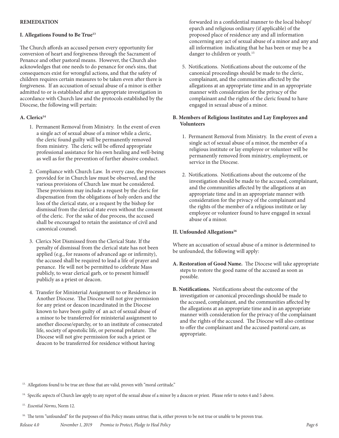#### **REMEDIATION**

#### **I. Allegations Found to Be True13**

The Church affords an accused person every opportunity for conversion of heart and forgiveness through the Sacrament of Penance and other pastoral means. However, the Church also acknowledges that one needs to do penance for one's sins, that consequences exist for wrongful actions, and that the safety of children requires certain measures to be taken even after there is forgiveness. If an accusation of sexual abuse of a minor is either admitted to or is established after an appropriate investigation in accordance with Church law and the protocols established by the Diocese, the following will pertain:

#### A. Clerics<sup>14</sup>

- 1. Permanent Removal from Ministry. In the event of even a single act of sexual abuse of a minor while a cleric, the cleric found guilty will be permanently removed from ministry. The cleric will be offered appropriate professional assistance for his own healing and well-being as well as for the prevention of further abusive conduct.
- 2. Compliance with Church Law. In every case, the processes provided for in Church law must be observed, and the various provisions of Church law must be considered. These provisions may include a request by the cleric for dispensation from the obligations of holy orders and the loss of the clerical state, or a request by the bishop for dismissal from the clerical state even without the consent of the cleric. For the sake of due process, the accused shall be encouraged to retain the assistance of civil and canonical counsel.
- 3. Clerics Not Dismissed from the Clerical State. If the penalty of dismissal from the clerical state has not been applied (e.g., for reasons of advanced age or infirmity), the accused shall be required to lead a life of prayer and penance. He will not be permitted to celebrate Mass publicly, to wear clerical garb, or to present himself publicly as a priest or deacon.
- 4. Transfer for Ministerial Assignment to or Residence in Another Diocese. The Diocese will not give permission for any priest or deacon incardinated in the Diocese known to have been guilty of an act of sexual abuse of a minor to be transferred for ministerial assignment to another diocese/eparchy, or to an institute of consecrated life, society of apostolic life, or personal prelature. The Diocese will not give permission for such a priest or deacon to be transferred for residence without having

forwarded in a confidential manner to the local bishop/ eparch and religious ordinary (if applicable) of the proposed place of residence any and all information concerning any act of sexual abuse of a minor and any and all information indicating that he has been or may be a danger to children or youth.<sup>15</sup>

5. Notifications. Notifications about the outcome of the canonical proceedings should be made to the cleric, complainant, and the communities affected by the allegations at an appropriate time and in an appropriate manner with consideration for the privacy of the complainant and the rights of the cleric found to have engaged in sexual abuse of a minor.

#### **B. Members of Religious Institutes and Lay Employees and Volunteers**

- 1. Permanent Removal from Ministry. In the event of even a single act of sexual abuse of a minor, the member of a religious institute or lay employee or volunteer will be permanently removed from ministry, employment, or service in the Diocese.
- 2. Notifications. Notifications about the outcome of the investigation should be made to the accused, complainant, and the communities affected by the allegations at an appropriate time and in an appropriate manner with consideration for the privacy of the complainant and the rights of the member of a religious institute or lay employee or volunteer found to have engaged in sexual abuse of a minor.

#### **II. Unfounded Allegations16**

Where an accusation of sexual abuse of a minor is determined to be unfounded, the following will apply:

- **A. Restoration of Good Name.** The Diocese will take appropriate steps to restore the good name of the accused as soon as possible.
- **B. Notifications.** Notifications about the outcome of the investigation or canonical proceedings should be made to the accused, complainant, and the communities affected by the allegations at an appropriate time and in an appropriate manner with consideration for the privacy of the complainant and the rights of the accused. The Diocese will also continue to offer the complainant and the accused pastoral care, as appropriate.

13. Allegations found to be true are those that are valid, proven with "moral certitude."

<sup>&</sup>lt;sup>14</sup>. Specific aspects of Church law apply to any report of the sexual abuse of a minor by a deacon or priest. Please refer to notes 4 and 5 above.

<sup>15.</sup> *Essential Norms*, Norm 12.

<sup>&</sup>lt;sup>16.</sup> The term "unfounded" for the purposes of this Policy means untrue; that is, either proven to be not true or unable to be proven true.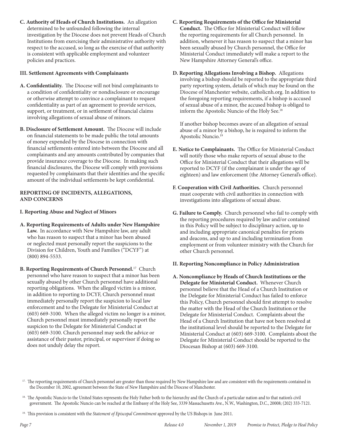**C. Authority of Heads of Church Institutions.** An allegation determined to be unfounded following the internal investigation by the Diocese does not prevent Heads of Church Institutions from exercising their administrative authority with respect to the accused, so long as the exercise of that authority is consistent with applicable employment and volunteer policies and practices.

#### **III. Settlement Agreements with Complainants**

- **A. Confidentiality.** The Diocese will not bind complainants to a condition of confidentiality or nondisclosure or encourage or otherwise attempt to convince a complainant to request confidentiality as part of an agreement to provide services, support, or treatment, or in settlement of financial claims involving allegations of sexual abuse of minors.
- **B. Disclosure of Settlement Amount.** The Diocese will include on financial statements to be made public the total amounts of money expended by the Diocese in connection with financial settlements entered into between the Diocese and all complainants and any amounts contributed by companies that provide insurance coverage to the Diocese. In making such financial disclosures, the Diocese will comply with provisions requested by complainants that their identities and the specific amount of the individual settlements be kept confidential.

#### **REPORTING OF INCIDENTS, ALLEGATIONS, AND CONCERNS**

#### **I. Reporting Abuse and Neglect of Minors**

- **A. Reporting Requirements of Adults under New Hampshire Law.** In accordance with New Hampshire law, any adult who has reason to suspect that a minor has been abused or neglected must personally report the suspicions to the Division for Children, Youth and Families ("DCYF") at (800) 894-5533.
- **B. Reporting Requirements of Church Personnel.**17 Church personnel who have reason to suspect that a minor has been sexually abused by other Church personnel have additional reporting obligations. When the alleged victim is a minor, in addition to reporting to DCYF, Church personnel must immediately personally report the suspicion to local law enforcement and to the Delegate for Ministerial Conduct at (603) 669-3100. When the alleged victim no longer is a minor, Church personnel must immediately personally report the suspicion to the Delegate for Ministerial Conduct at (603) 669-3100. Church personnel may seek the advice or assistance of their pastor, principal, or supervisor if doing so does not unduly delay the report.
- **C. Reporting Requirements of the Office for Ministerial Conduct.** The Office for Ministerial Conduct will follow the reporting requirements for all Church personnel. In addition, whenever it has reason to suspect that a minor has been sexually abused by Church personnel, the Office for Ministerial Conduct immediately will make a report to the New Hampshire Attorney General's office.
- **D. Reporting Allegations Involving a Bishop.** Allegations involving a bishop should be reported to the appropriate third party reporting system, details of which may be found on the Diocese of Manchester website, catholicnh.org. In addition to the foregoing reporting requirements, if a bishop is accused of sexual abuse of a minor, the accused bishop is obliged to inform the Apostolic Nuncio of the Holy See.<sup>18</sup>

If another bishop becomes aware of an allegation of sexual abuse of a minor by a bishop, he is required to inform the Apostolic Nuncio.19

- **E. Notice to Complainants.** The Office for Ministerial Conduct will notify those who make reports of sexual abuse to the Office for Ministerial Conduct that their allegations will be reported to DCYF (if the complainant is under the age of eighteen) and law enforcement (the Attorney General's office).
- **F. Cooperation with Civil Authorities.** Church personnel must cooperate with civil authorities in connection with investigations into allegations of sexual abuse.
- **G. Failure to Comply.** Church personnel who fail to comply with the reporting procedures required by law and/or contained in this Policy will be subject to disciplinary action, up to and including appropriate canonical penalties for priests and deacons, and up to and including termination from employment or from volunteer ministry with the Church for other Church personnel.
- **II. Reporting Noncompliance in Policy Administration**
- **A. Noncompliance by Heads of Church Institutions or the Delegate for Ministerial Conduct.** Whenever Church personnel believe that the Head of a Church Institution or the Delegate for Ministerial Conduct has failed to enforce this Policy, Church personnel should first attempt to resolve the matter with the Head of the Church Institution or the Delegate for Ministerial Conduct. Complaints about the Head of a Church Institution that have not been resolved at the institutional level should be reported to the Delegate for Ministerial Conduct at (603) 669-3100. Complaints about the Delegate for Ministerial Conduct should be reported to the Diocesan Bishop at (603) 669-3100.

- 18. The Apostolic Nuncio to the United States represents the Holy Father both to the hierarchy and the Church of a particular nation and to that nation's civil government. The Apostolic Nuncio can be reached at the Embassy of the Holy See, 3339 Massachusetts Ave., N.W., Washington, D.C., 20008; (202) 333-7121.
- 19. This provision is consistent with the *Statement of Episcopal Commitment* approved by the US Bishops in June 2011.

<sup>&</sup>lt;sup>17.</sup> The reporting requirements of Church personnel are greater than those required by New Hampshire law and are consistent with the requirements contained in the December 10, 2002, agreement between the State of New Hampshire and the Diocese of Manchester.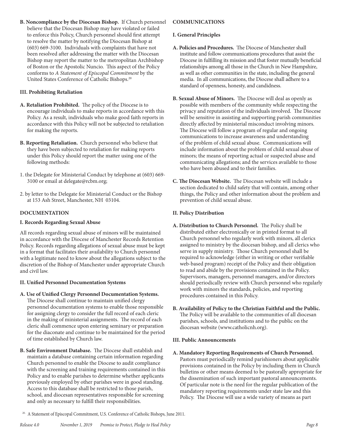**B. Noncompliance by the Diocesan Bishop.** If Church personnel believe that the Diocesan Bishop may have violated or failed to enforce this Policy, Church personnel should first attempt to resolve the matter by notifying the Diocesan Bishop at (603) 669-3100. Individuals with complaints that have not been resolved after addressing the matter with the Diocesan Bishop may report the matter to the metropolitan Archbishop of Boston or the Apostolic Nuncio. This aspect of the Policy conforms to *A Statement of Episcopal Commitment* by the United States Conference of Catholic Bishops.20

#### **III. Prohibiting Retaliation**

- **A. Retaliation Prohibited.** The policy of the Diocese is to encourage individuals to make reports in accordance with this Policy. As a result, individuals who make good faith reports in accordance with this Policy will not be subjected to retaliation for making the reports.
- **B. Reporting Retaliation.** Church personnel who believe that they have been subjected to retaliation for making reports under this Policy should report the matter using one of the following methods:
- 1. the Delegate for Ministerial Conduct by telephone at (603) 669- 3100 or email at delegate@rcbm.org;
- 2. by letter to the Delegate for Ministerial Conduct or the Bishop at 153 Ash Street, Manchester, NH 03104.

#### **DOCUMENTATION**

#### **I. Records Regarding Sexual Abuse**

All records regarding sexual abuse of minors will be maintained in accordance with the Diocese of Manchester Records Retention Policy. Records regarding allegations of sexual abuse must be kept in a format that facilitates their availability to Church personnel with a legitimate need to know about the allegations subject to the discretion of the Bishop of Manchester under appropriate Church and civil law.

#### **II. Unified Personnel Documentation Systems**

**A. Use of Unified Clergy Personnel Documentation Systems.** The Diocese shall continue to maintain unified clergy

personnel documentation systems to enable those responsible for assigning clergy to consider the full record of each cleric in the making of ministerial assignments. The record of each cleric shall commence upon entering seminary or preparation for the diaconate and continue to be maintained for the period of time established by Church law.

**B. Safe Environment Database.** The Diocese shall establish and maintain a database containing certain information regarding Church personnel to enable the Diocese to audit compliance with the screening and training requirements contained in this Policy and to enable parishes to determine whether applicants previously employed by other parishes were in good standing. Access to this database shall be restricted to those parish, school, and diocesan representatives responsible for screening and only as necessary to fulfill their responsibilities.

#### **COMMUNICATIONS**

#### **I. General Principles**

- **A. Policies and Procedures.** The Diocese of Manchester shall institute and follow communications procedures that assist the Diocese in fulfilling its mission and that foster mutually beneficial relationships among all those in the Church in New Hampshire, as well as other communities in the state, including the general media. In all communications, the Diocese shall adhere to a standard of openness, honesty, and candidness.
- **B. Sexual Abuse of Minors.** The Diocese will deal as openly as possible with members of the community while respecting the privacy and reputation of the individuals involved. The Diocese will be sensitive in assisting and supporting parish communities directly affected by ministerial misconduct involving minors. The Diocese will follow a program of regular and ongoing communications to increase awareness and understanding of the problem of child sexual abuse. Communications will include information about the problem of child sexual abuse of minors; the means of reporting actual or suspected abuse and communicating allegations; and the services available to those who have been abused and to their families.
- **C. The Diocesan Website.** The Diocesan website will include a section dedicated to child safety that will contain, among other things, the Policy and other information about the problem and prevention of child sexual abuse.

#### **II. Policy Distribution**

- **A. Distribution to Church Personnel.** The Policy shall be distributed either electronically or in printed format to all Church personnel who regularly work with minors, all clerics assigned to ministry by the diocesan bishop, and all clerics who serve in supply ministry. Those Church personnel shall be required to acknowledge (either in writing or other verifiable web-based program) receipt of the Policy and their obligation to read and abide by the provisions contained in the Policy. Supervisors, managers, personnel managers, and/or directors should periodically review with Church personnel who regularly work with minors the standards, policies, and reporting procedures contained in this Policy.
- **B. Availability of Policy to the Christian Faithful and the Public.** The Policy will be available to the communities of all diocesan parishes, schools, and institutions and to the public on the diocesan website (www.catholicnh.org).

#### **III. Public Announcements**

**A. Mandatory Reporting Requirements of Church Personnel.**

Pastors must periodically remind parishioners about applicable provisions contained in the Policy by including them in Church bulletins or other means deemed to be pastorally appropriate for the dissemination of such important pastoral announcements. Of particular note is the need for the regular publication of the mandatory reporting requirements under state law and this Policy. The Diocese will use a wide variety of means as part

<sup>20.</sup> A Statement of Episcopal Commitment, U.S. Conference of Catholic Bishops, June 2011.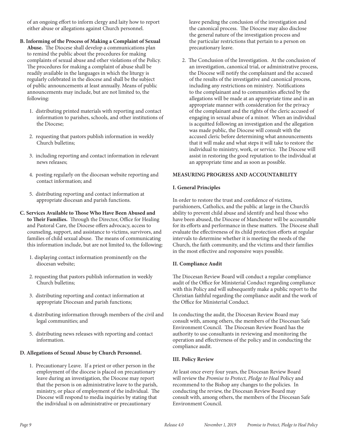of an ongoing effort to inform clergy and laity how to report either abuse or allegations against Church personnel.

**B. Informing of the Process of Making a Complaint of Sexual** 

**Abuse.** The Diocese shall develop a communications plan to remind the public about the procedures for making complaints of sexual abuse and other violations of the Policy. The procedures for making a complaint of abuse shall be readily available in the languages in which the liturgy is regularly celebrated in the diocese and shall be the subject of public announcements at least annually. Means of public announcements may include, but are not limited to, the following:

- 1. distributing printed materials with reporting and contact information to parishes, schools, and other institutions of the Diocese;
- 2. requesting that pastors publish information in weekly Church bulletins;
- 3. including reporting and contact information in relevant news releases;
- 4. posting regularly on the diocesan website reporting and contact information; and
- 5. distributing reporting and contact information at appropriate diocesan and parish functions.

#### **C. Services Available to Those Who Have Been Abused and to Their Families.** Through the Director, Office for Healing and Pastoral Care, the Diocese offers advocacy, access to counseling, support, and assistance to victims, survivors, and families of child sexual abuse. The means of communicating this information include, but are not limited to, the following:

- 1. displaying contact information prominently on the diocesan website;
- 2. requesting that pastors publish information in weekly Church bulletins;
- 3. distributing reporting and contact information at appropriate Diocesan and parish functions;
- 4. distributing information through members of the civil and legal communities; and
- 5. distributing news releases with reporting and contact information.

#### **D. Allegations of Sexual Abuse by Church Personnel.**

1. Precautionary Leave. If a priest or other person in the employment of the diocese is placed on precautionary leave during an investigation, the Diocese may report that the person is on administrative leave to the parish, ministry, or place of employment of the individual. The Diocese will respond to media inquiries by stating that the individual is on administrative or precautionary

leave pending the conclusion of the investigation and the canonical process. The Diocese may also disclose the general nature of the investigation process and the particular restrictions that pertain to a person on precautionary leave.

2. The Conclusion of the Investigation. At the conclusion of an investigation, canonical trial, or administrative process, the Diocese will notify the complainant and the accused of the results of the investigative and canonical process, including any restrictions on ministry. Notifications to the complainant and to communities affected by the allegations will be made at an appropriate time and in an appropriate manner with consideration for the privacy of the complainant and the rights of the cleric accused of engaging in sexual abuse of a minor. When an individual is acquitted following an investigation and the allegation was made public, the Diocese will consult with the accused cleric before determining what announcements that it will make and what steps it will take to restore the individual to ministry, work, or service. The Diocese will assist in restoring the good reputation to the individual at an appropriate time and as soon as possible.

#### **MEASURING PROGRESS AND ACCOUNTABILITY**

#### **I. General Principles**

In order to restore the trust and confidence of victims, parishioners, Catholics, and the public at large in the Church's ability to prevent child abuse and identify and heal those who have been abused, the Diocese of Manchester will be accountable for its efforts and performance in these matters. The Diocese shall evaluate the effectiveness of its child protection efforts at regular intervals to determine whether it is meeting the needs of the Church, the faith community, and the victims and their families in the most effective and responsive ways possible.

#### **II. Compliance Audit**

The Diocesan Review Board will conduct a regular compliance audit of the Office for Ministerial Conduct regarding compliance with this Policy and will subsequently make a public report to the Christian faithful regarding the compliance audit and the work of the Office for Ministerial Conduct.

In conducting the audit, the Diocesan Review Board may consult with, among others, the members of the Diocesan Safe Environment Council. The Diocesan Review Board has the authority to use consultants in reviewing and monitoring the operation and effectiveness of the policy and in conducting the compliance audit.

#### **III. Policy Review**

At least once every four years, the Diocesan Review Board will review the *Promise to Protect, Pledge to Heal* Policy and recommend to the Bishop any changes to the policies. In conducting the review, the Diocesan Review Board may consult with, among others, the members of the Diocesan Safe Environment Council.